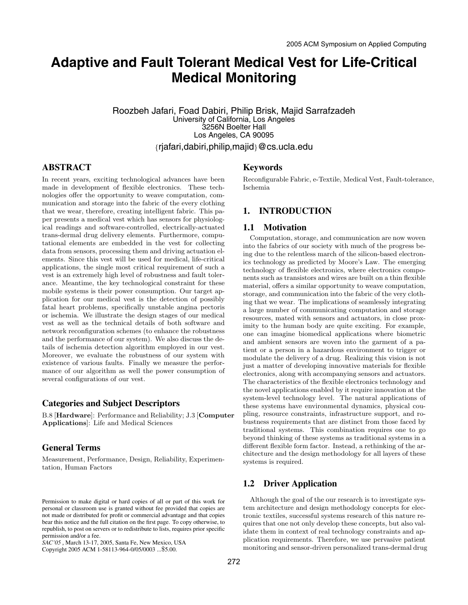# **Adaptive and Fault Tolerant Medical Vest for Life-Critical Medical Monitoring**

Roozbeh Jafari, Foad Dabiri, Philip Brisk, Majid Sarrafzadeh University of California, Los Angeles 3256N Boelter Hall Los Angeles, CA 90095 {rjafari,dabiri,philip,majid}@cs.ucla.edu

# **ABSTRACT**

In recent years, exciting technological advances have been made in development of flexible electronics. These technologies offer the opportunity to weave computation, communication and storage into the fabric of the every clothing that we wear, therefore, creating intelligent fabric. This paper presents a medical vest which has sensors for physiological readings and software-controlled, electrically-actuated trans-dermal drug delivery elements. Furthermore, computational elements are embedded in the vest for collecting data from sensors, processing them and driving actuation elements. Since this vest will be used for medical, life-critical applications, the single most critical requirement of such a vest is an extremely high level of robustness and fault tolerance. Meantime, the key technological constraint for these mobile systems is their power consumption. Our target application for our medical vest is the detection of possibly fatal heart problems, specifically unstable angina pectoris or ischemia. We illustrate the design stages of our medical vest as well as the technical details of both software and network reconfiguration schemes (to enhance the robustness and the performance of our system). We also discuss the details of ischemia detection algorithm employed in our vest. Moreover, we evaluate the robustness of our system with existence of various faults. Finally we measure the performance of our algorithm as well the power consumption of several configurations of our vest.

#### **Categories and Subject Descriptors**

B.8 [**Hardware**]: Performance and Reliability; J.3 [**Computer Applications**]: Life and Medical Sciences

# **General Terms**

Measurement, Performance, Design, Reliability, Experimentation, Human Factors

*SAC'05 ,* March 13-17, 2005, Santa Fe, New Mexico, USA

Copyright 2005 ACM 1-58113-964-0/05/0003 ...\$5.00.

# **Keywords**

Reconfigurable Fabric, e-Textile, Medical Vest, Fault-tolerance, Ischemia

# **1. INTRODUCTION**

#### **1.1 Motivation**

Computation, storage, and communication are now woven into the fabrics of our society with much of the progress being due to the relentless march of the silicon-based electronics technology as predicted by Moore's Law. The emerging technology of flexible electronics, where electronics components such as transistors and wires are built on a thin flexible material, offers a similar opportunity to weave computation, storage, and communication into the fabric of the very clothing that we wear. The implications of seamlessly integrating a large number of communicating computation and storage resources, mated with sensors and actuators, in close proximity to the human body are quite exciting. For example, one can imagine biomedical applications where biometric and ambient sensors are woven into the garment of a patient or a person in a hazardous environment to trigger or modulate the delivery of a drug. Realizing this vision is not just a matter of developing innovative materials for flexible electronics, along with accompanying sensors and actuators. The characteristics of the flexible electronics technology and the novel applications enabled by it require innovation at the system-level technology level. The natural applications of these systems have environmental dynamics, physical coupling, resource constraints, infrastructure support, and robustness requirements that are distinct from those faced by traditional systems. This combination requires one to go beyond thinking of these systems as traditional systems in a different flexible form factor. Instead, a rethinking of the architecture and the design methodology for all layers of these systems is required.

# **1.2 Driver Application**

Although the goal of the our research is to investigate system architecture and design methodology concepts for electronic textiles, successful systems research of this nature requires that one not only develop these concepts, but also validate them in context of real technology constraints and application requirements. Therefore, we use pervasive patient monitoring and sensor-driven personalized trans-dermal drug

Permission to make digital or hard copies of all or part of this work for personal or classroom use is granted without fee provided that copies are not made or distributed for profit or commercial advantage and that copies bear this notice and the full citation on the first page. To copy otherwise, to republish, to post on servers or to redistribute to lists, requires prior specific permission and/or a fee.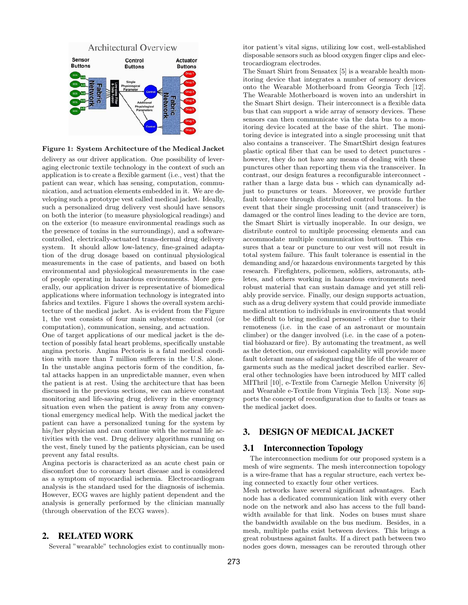

**Figure 1: System Architecture of the Medical Jacket**

delivery as our driver application. One possibility of leveraging electronic textile technology in the context of such an application is to create a flexible garment (i.e., vest) that the patient can wear, which has sensing, computation, communication, and actuation elements embedded in it. We are developing such a prototype vest called medical jacket. Ideally, such a personalized drug delivery vest should have sensors on both the interior (to measure physiological readings) and on the exterior (to measure environmental readings such as the presence of toxins in the surroundings), and a softwarecontrolled, electrically-actuated trans-dermal drug delivery system. It should allow low-latency, fine-grained adaptation of the drug dosage based on continual physiological measurements in the case of patients, and based on both environmental and physiological measurements in the case of people operating in hazardous environments. More generally, our application driver is representative of biomedical applications where information technology is integrated into fabrics and textiles. Figure 1 shows the overall system architecture of the medical jacket. As is evident from the Figure 1, the vest consists of four main subsystems: control (or computation), communication, sensing, and actuation.

One of target applications of our medical jacket is the detection of possibly fatal heart problems, specifically unstable angina pectoris. Angina Pectoris is a fatal medical condition with more than 7 million sufferers in the U.S. alone. In the unstable angina pectoris form of the condition, fatal attacks happen in an unpredictable manner, even when the patient is at rest. Using the architecture that has been discussed in the previous sections, we can achieve constant monitoring and life-saving drug delivery in the emergency situation even when the patient is away from any conventional emergency medical help. With the medical jacket the patient can have a personalized tuning for the system by his/her physician and can continue with the normal life activities with the vest. Drug delivery algorithms running on the vest, finely tuned by the patients physician, can be used prevent any fatal results.

Angina pectoris is characterized as an acute chest pain or discomfort due to coronary heart disease and is considered as a symptom of myocardial ischemia. Electrocardiogram analysis is the standard used for the diagnosis of ischemia. However, ECG waves are highly patient dependent and the analysis is generally performed by the clinician manually (through observation of the ECG waves).

### **2. RELATED WORK**

Several "wearable" technologies exist to continually mon-

itor patient's vital signs, utilizing low cost, well-established disposable sensors such as blood oxygen finger clips and electrocardiogram electrodes.

The Smart Shirt from Sensatex [5] is a wearable health monitoring device that integrates a number of sensory devices onto the Wearable Motherboard from Georgia Tech [12]. The Wearable Motherboard is woven into an undershirt in the Smart Shirt design. Their interconnect is a flexible data bus that can support a wide array of sensory devices. These sensors can then communicate via the data bus to a monitoring device located at the base of the shirt. The monitoring device is integrated into a single processing unit that also contains a transceiver. The SmartShirt design features plastic optical fiber that can be used to detect punctures however, they do not have any means of dealing with these punctures other than reporting them via the transceiver. In contrast, our design features a reconfigurable interconnect rather than a large data bus - which can dynamically adjust to punctures or tears. Moreover, we provide further fault tolerance through distributed control buttons. In the event that their single processing unit (and transceiver) is damaged or the control lines leading to the device are torn, the Smart Shirt is virtually inoperable. In our design, we distribute control to multiple processing elements and can accommodate multiple communication buttons. This ensures that a tear or puncture to our vest will not result in total system failure. This fault tolerance is essential in the demanding and/or hazardous environments targeted by this research. Firefighters, policemen, soldiers, astronauts, athletes, and others working in hazardous environments need robust material that can sustain damage and yet still reliably provide service. Finally, our design supports actuation, such as a drug delivery system that could provide immediate medical attention to individuals in environments that would be difficult to bring medical personnel - either due to their remoteness (i.e. in the case of an astronaut or mountain climber) or the danger involved (i.e. in the case of a potential biohazard or fire). By automating the treatment, as well as the detection, our envisioned capability will provide more fault tolerant means of safeguarding the life of the wearer of garments such as the medical jacket described earlier. Several other technologies have been introduced by MIT called MIThril [10], e-Textile from Carnegie Mellon University [6] and Wearable e-Textile from Virginia Tech [13]. None supports the concept of reconfiguration due to faults or tears as the medical jacket does.

# **3. DESIGN OF MEDICAL JACKET**

#### **3.1 Interconnection Topology**

The interconnection medium for our proposed system is a mesh of wire segments. The mesh interconnection topology is a wire-frame that has a regular structure, each vertex being connected to exactly four other vertices.

Mesh networks have several significant advantages. Each node has a dedicated communication link with every other node on the network and also has access to the full bandwidth available for that link. Nodes on buses must share the bandwidth available on the bus medium. Besides, in a mesh, multiple paths exist between devices. This brings a great robustness against faults. If a direct path between two nodes goes down, messages can be rerouted through other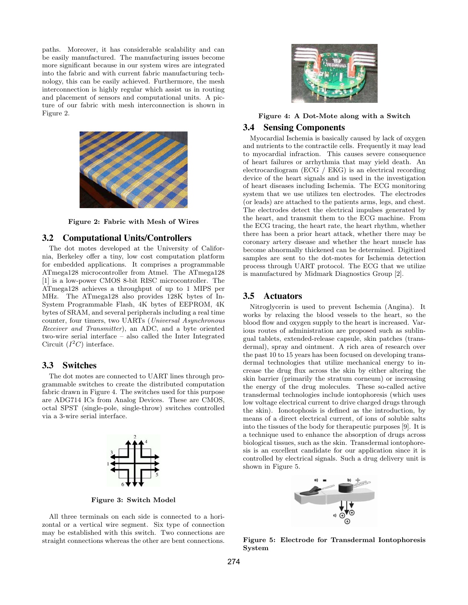paths. Moreover, it has considerable scalability and can be easily manufactured. The manufacturing issues become more significant because in our system wires are integrated into the fabric and with current fabric manufacturing technology, this can be easily achieved. Furthermore, the mesh interconnection is highly regular which assist us in routing and placement of sensors and computational units. A picture of our fabric with mesh interconnection is shown in Figure 2.



**Figure 2: Fabric with Mesh of Wires**

#### **3.2 Computational Units/Controllers**

The dot motes developed at the University of California, Berkeley offer a tiny, low cost computation platform for embedded applications. It comprises a programmable ATmega128 microcontroller from Atmel. The ATmega128 [1] is a low-power CMOS 8-bit RISC microcontroller. The ATmega128 achieves a throughput of up to 1 MIPS per MHz. The ATmega128 also provides 128K bytes of In-System Programmable Flash, 4K bytes of EEPROM, 4K bytes of SRAM, and several peripherals including a real time counter, four timers, two UARTs (*Universal Asynchronous Receiver and Transmitter*), an ADC, and a byte oriented two-wire serial interface – also called the Inter Integrated Circuit  $(I^2C)$  interface.

#### **3.3 Switches**

The dot motes are connected to UART lines through programmable switches to create the distributed computation fabric drawn in Figure 4. The switches used for this purpose are ADG714 ICs from Analog Devices. These are CMOS, octal SPST (single-pole, single-throw) switches controlled via a 3-wire serial interface.



**Figure 3: Switch Model**

All three terminals on each side is connected to a horizontal or a vertical wire segment. Six type of connection may be established with this switch. Two connections are straight connections whereas the other are bent connections.



**Figure 4: A Dot-Mote along with a Switch**

#### **3.4 Sensing Components**

Myocardial Ischemia is basically caused by lack of oxygen and nutrients to the contractile cells. Frequently it may lead to myocardial infraction. This causes severe consequence of heart failures or arrhythmia that may yield death. An electrocardiogram (ECG / EKG) is an electrical recording device of the heart signals and is used in the investigation of heart diseases including Ischemia. The ECG monitoring system that we use utilizes ten electrodes. The electrodes (or leads) are attached to the patients arms, legs, and chest. The electrodes detect the electrical impulses generated by the heart, and transmit them to the ECG machine. From the ECG tracing, the heart rate, the heart rhythm, whether there has been a prior heart attack, whether there may be coronary artery disease and whether the heart muscle has become abnormally thickened can be determined. Digitized samples are sent to the dot-motes for Ischemia detection process through UART protocol. The ECG that we utilize is manufactured by Midmark Diagnostics Group [2].

#### **3.5 Actuators**

Nitroglycerin is used to prevent Ischemia (Angina). It works by relaxing the blood vessels to the heart, so the blood flow and oxygen supply to the heart is increased. Various routes of administration are proposed such as sublingual tablets, extended-release capsule, skin patches (transdermal), spray and ointment. A rich area of research over the past 10 to 15 years has been focused on developing transdermal technologies that utilize mechanical energy to increase the drug flux across the skin by either altering the skin barrier (primarily the stratum corneum) or increasing the energy of the drug molecules. These so-called active transdermal technologies include iontophoresis (which uses low voltage electrical current to drive charged drugs through the skin). Ionotophosis is defined as the introduction, by means of a direct electrical current, of ions of soluble salts into the tissues of the body for therapeutic purposes [9]. It is a technique used to enhance the absorption of drugs across biological tissues, such as the skin. Transdermal iontophoresis is an excellent candidate for our application since it is controlled by electrical signals. Such a drug delivery unit is shown in Figure 5.



**Figure 5: Electrode for Transdermal Iontophoresis System**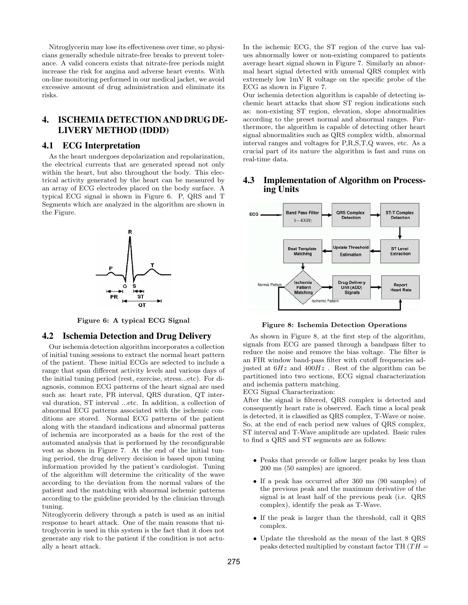Nitroglycerin may lose its effectiveness over time, so physicians generally schedule nitrate-free breaks to prevent tolerance. A valid concern exists that nitrate-free periods might increase the risk for angina and adverse heart events. With on-line monitoring performed in our medical jacket, we avoid excessive amount of drug administration and eliminate its risks.

# **4. ISCHEMIA DETECTION AND DRUG DE-LIVERY METHOD (IDDD)**

### **4.1 ECG Interpretation**

As the heart undergoes depolarization and repolarization, the electrical currents that are generated spread not only within the heart, but also throughout the body. This electrical activity generated by the heart can be measured by an array of ECG electrodes placed on the body surface. A typical ECG signal is shown in Figure 6. P, QRS and T Segments which are analyzed in the algorithm are shown in the Figure.



**Figure 6: A typical ECG Signal**

#### **4.2 Ischemia Detection and Drug Delivery**

Our ischemia detection algorithm incorporates a collection of initial tuning sessions to extract the normal heart pattern of the patient. These initial ECGs are selected to include a range that span different activity levels and various days of the initial tuning period (rest, exercise, stress...etc). For diagnosis, common ECG patterns of the heart signal are used such as: heart rate, PR interval, QRS duration, QT interval duration, ST interval ...etc. In addition, a collection of abnormal ECG patterns associated with the ischemic conditions are stored. Normal ECG patterns of the patient along with the standard indications and abnormal patterns of ischemia are incorporated as a basis for the rest of the automated analysis that is performed by the reconfigurable vest as shown in Figure 7. At the end of the initial tuning period, the drug delivery decision is based upon tuning information provided by the patient's cardiologist. Tuning of the algorithm will determine the criticality of the wave according to the deviation from the normal values of the patient and the matching with abnormal ischemic patterns according to the guideline provided by the clinician through tuning.

Nitroglycerin delivery through a patch is used as an initial response to heart attack. One of the main reasons that nitroglycerin is used in this system is the fact that it does not generate any risk to the patient if the condition is not actually a heart attack.

In the ischemic ECG, the ST region of the curve has values abnormally lower or non-existing compared to patients average heart signal shown in Figure 7. Similarly an abnormal heart signal detected with unusual QRS complex with extremely low 1mV R voltage on the specific probe of the ECG as shown in Figure 7.

Our ischemia detection algorithm is capable of detecting ischemic heart attacks that show ST region indications such as: non-existing ST region, elevation, slope abnormalities according to the preset normal and abnormal ranges. Furthermore, the algorithm is capable of detecting other heart signal abnormalities such as QRS complex width, abnormal interval ranges and voltages for P,R,S,T,Q waves, etc. As a crucial part of its nature the algorithm is fast and runs on real-time data.

# **4.3 Implementation of Algorithm on Processing Units**



**Figure 8: Ischemia Detection Operations**

As shown in Figure 8, at the first step of the algorithm, signals from ECG are passed through a bandpass filter to reduce the noise and remove the bias voltage. The filter is an FIR window band-pass filter with cutoff frequencies adjusted at 6*Hz* and 400*Hz* . Rest of the algorithm can be partitioned into two sections, ECG signal characterization and ischemia pattern matching.

ECG Signal Characterization:

After the signal is filtered, QRS complex is detected and consequently heart rate is observed. Each time a local peak is detected, it is classified as QRS complex, T-Wave or noise. So, at the end of each period new values of QRS complex, ST interval and T-Wave amplitude are updated. Basic rules to find a QRS and ST segments are as follows:

- Peaks that precede or follow larger peaks by less than 200 ms (50 samples) are ignored.
- If a peak has occurred after 360 ms (90 samples) of the previous peak and the maximum derivative of the signal is at least half of the previous peak (i.e. QRS complex), identify the peak as T-Wave.
- If the peak is larger than the threshold, call it QRS complex.
- Update the threshold as the mean of the last 8 QRS peaks detected multiplied by constant factor  $TH(TH =$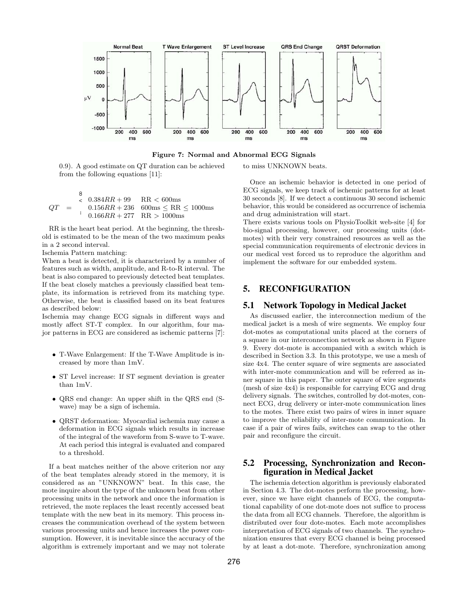

**Figure 7: Normal and Abnormal ECG Signals**

0*.*9). A good estimate on QT duration can be achieved from the following equations [11]:

$$
QT = \begin{array}{c} 8 \\ < 0.384RR + 99 \\ 0.156RR + 236 \\ \vdots \\ 0.166RR + 277 \\ \text{RR} > 1000 \text{ms} \end{array} \begin{array}{c} \text{RR} < 600 \text{ms} \\ \text{R} \text{R} < 600 \text{ms} \\ \text{R} \text{R} \text{R} \text{R} \\ \end{array} \begin{array}{c} 8 \\ 1000 \text{ms} \\ \text{R} \text{R} \text{R} \text{R} \\ \end{array}
$$

RR is the heart beat period. At the beginning, the threshold is estimated to be the mean of the two maximum peaks in a 2 second interval.

Ischemia Pattern matching:

When a beat is detected, it is characterized by a number of features such as width, amplitude, and R-to-R interval. The beat is also compared to previously detected beat templates. If the beat closely matches a previously classified beat template, its information is retrieved from its matching type. Otherwise, the beat is classified based on its beat features as described below:

Ischemia may change ECG signals in different ways and mostly affect ST-T complex. In our algorithm, four major patterns in ECG are considered as ischemic patterns [7]:

- T-Wave Enlargement: If the T-Wave Amplitude is increased by more than 1mV.
- ST Level increase: If ST segment deviation is greater than 1mV.
- QRS end change: An upper shift in the QRS end (Swave) may be a sign of ischemia.
- QRST deformation: Myocardial ischemia may cause a deformation in ECG signals which results in increase of the integral of the waveform from S-wave to T-wave. At each period this integral is evaluated and compared to a threshold.

If a beat matches neither of the above criterion nor any of the beat templates already stored in the memory, it is considered as an "UNKNOWN" beat. In this case, the mote inquire about the type of the unknown beat from other processing units in the network and once the information is retrieved, the mote replaces the least recently accessed beat template with the new beat in its memory. This process increases the communication overhead of the system between various processing units and hence increases the power consumption. However, it is inevitable since the accuracy of the algorithm is extremely important and we may not tolerate to miss UNKNOWN beats.

Once an ischemic behavior is detected in one period of ECG signals, we keep track of ischemic patterns for at least 30 seconds [8]. If we detect a continuous 30 second ischemic behavior, this would be considered as occurrence of ischemia and drug administration will start.

There exists various tools on PhysioToolkit web-site [4] for bio-signal processing, however, our processing units (dotmotes) with their very constrained resources as well as the special communication requirements of electronic devices in our medical vest forced us to reproduce the algorithm and implement the software for our embedded system.

# **5. RECONFIGURATION**

#### **5.1 Network Topology in Medical Jacket**

As discussed earlier, the interconnection medium of the medical jacket is a mesh of wire segments. We employ four dot-motes as computational units placed at the corners of a square in our interconnection network as shown in Figure 9. Every dot-mote is accompanied with a switch which is described in Section 3.3. In this prototype, we use a mesh of size 4x4. The center square of wire segments are associated with inter-mote communication and will be referred as inner square in this paper. The outer square of wire segments (mesh of size 4x4) is responsible for carrying ECG and drug delivery signals. The switches, controlled by dot-motes, connect ECG, drug delivery or inter-mote communication lines to the motes. There exist two pairs of wires in inner square to improve the reliability of inter-mote communication. In case if a pair of wires fails, switches can swap to the other pair and reconfigure the circuit.

# **5.2 Processing, Synchronization and Reconfiguration in Medical Jacket**

The ischemia detection algorithm is previously elaborated in Section 4.3. The dot-motes perform the processing, however, since we have eight channels of ECG, the computational capability of one dot-mote does not suffice to process the data from all ECG channels. Therefore, the algorithm is distributed over four dote-motes. Each mote accomplishes interpretation of ECG signals of two channels. The synchronization ensures that every ECG channel is being processed by at least a dot-mote. Therefore, synchronization among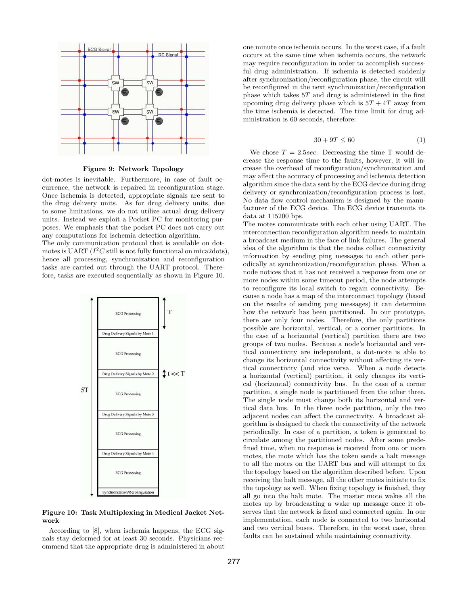

**Figure 9: Network Topology**

dot-motes is inevitable. Furthermore, in case of fault occurrence, the network is repaired in reconfiguration stage. Once ischemia is detected, appropriate signals are sent to the drug delivery units. As for drug delivery units, due to some limitations, we do not utilize actual drug delivery units. Instead we exploit a Pocket PC for monitoring purposes. We emphasis that the pocket PC does not carry out any computations for ischemia detection algorithm.

The only communication protocol that is available on dotmotes is UART  $(I^2C \text{ still is not fully functional on mica2dots),$ hence all processing, synchronization and reconfiguration tasks are carried out through the UART protocol. Therefore, tasks are executed sequentially as shown in Figure 10.



**Figure 10: Task Multiplexing in Medical Jacket Network**

According to [8], when ischemia happens, the ECG signals stay deformed for at least 30 seconds. Physicians recommend that the appropriate drug is administered in about

one minute once ischemia occurs. In the worst case, if a fault occurs at the same time when ischemia occurs, the network may require reconfiguration in order to accomplish successful drug administration. If ischemia is detected suddenly after synchronization/reconfiguration phase, the circuit will be reconfigured in the next synchronization/reconfiguration phase which takes 5*T* and drug is administered in the first upcoming drug delivery phase which is  $5T + 4T$  away from the time ischemia is detected. The time limit for drug administration is 60 seconds, therefore:

$$
30 + 9T \le 60\tag{1}
$$

We chose  $T = 2.5$ *sec*. Decreasing the time T would decrease the response time to the faults, however, it will increase the overhead of reconfiguration/synchronization and may affect the accuracy of processing and ischemia detection algorithm since the data sent by the ECG device during drug delivery or synchronization/reconfiguration process is lost. No data flow control mechanism is designed by the manufacturer of the ECG device. The ECG device transmits its data at 115200 bps.

The motes communicate with each other using UART. The interconnection reconfiguration algorithm needs to maintain a broadcast medium in the face of link failures. The general idea of the algorithm is that the nodes collect connectivity information by sending ping messages to each other periodically at synchronization/reconfiguration phase. When a node notices that it has not received a response from one or more nodes within some timeout period, the node attempts to reconfigure its local switch to regain connectivity. Because a node has a map of the interconnect topology (based on the results of sending ping messages) it can determine how the network has been partitioned. In our prototype, there are only four nodes. Therefore, the only partitions possible are horizontal, vertical, or a corner partitions. In the case of a horizontal (vertical) partition there are two groups of two nodes. Because a node's horizontal and vertical connectivity are independent, a dot-mote is able to change its horizontal connectivity without affecting its vertical connectivity (and vice versa. When a node detects a horizontal (vertical) partition, it only changes its vertical (horizontal) connectivity bus. In the case of a corner partition, a single node is partitioned from the other three. The single node must change both its horizontal and vertical data bus. In the three node partition, only the two adjacent nodes can affect the connectivity. A broadcast algorithm is designed to check the connectivity of the network periodically. In case of a partition, a token is generated to circulate among the partitioned nodes. After some predefined time, when no response is received from one or more motes, the mote which has the token sends a halt message to all the motes on the UART bus and will attempt to fix the topology based on the algorithm described before. Upon receiving the halt message, all the other motes initiate to fix the topology as well. When fixing topology is finished, they all go into the halt mote. The master mote wakes all the motes up by broadcasting a wake up message once it observes that the network is fixed and connected again. In our implementation, each node is connected to two horizontal and two vertical buses. Therefore, in the worst case, three faults can be sustained while maintaining connectivity.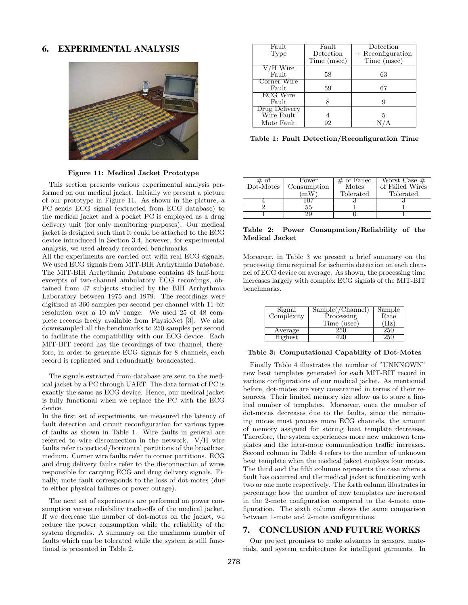# **6. EXPERIMENTAL ANALYSIS**



**Figure 11: Medical Jacket Prototype**

This section presents various experimental analysis performed on our medical jacket. Initially we present a picture of our prototype in Figure 11. As shown in the picture, a PC sends ECG signal (extracted from ECG database) to the medical jacket and a pocket PC is employed as a drug delivery unit (for only monitoring purposes). Our medical jacket is designed such that it could be attached to the ECG device introduced in Section 3.4, however, for experimental analysis, we used already recorded benchmarks.

All the experiments are carried out with real ECG signals. We used ECG signals from MIT-BIH Arrhythmia Database. The MIT-BIH Arrhythmia Database contains 48 half-hour excerpts of two-channel ambulatory ECG recordings, obtained from 47 subjects studied by the BIH Arrhythmia Laboratory between 1975 and 1979. The recordings were digitized at 360 samples per second per channel with 11-bit resolution over a 10 mV range. We used 25 of 48 complete records freely available from PhysioNet [3]. We also downsampled all the benchmarks to 250 samples per second to facilitate the compatibility with our ECG device. Each MIT-BIT record has the recordings of two channel, therefore, in order to generate ECG signals for 8 channels, each record is replicated and redundantly broadcasted.

The signals extracted from database are sent to the medical jacket by a PC through UART. The data format of PC is exactly the same as ECG device. Hence, our medical jacket is fully functional when we replace the PC with the ECG device.

In the first set of experiments, we measured the latency of fault detection and circuit reconfiguration for various types of faults as shown in Table 1. Wire faults in general are referred to wire disconnection in the network. V/H wire faults refer to vertical/horizontal partitions of the broadcast medium. Corner wire faults refer to corner partitions. ECG and drug delivery faults refer to the disconnection of wires responsible for carrying ECG and drug delivery signals. Finally, mote fault corresponds to the loss of dot-motes (due to either physical failures or power outage).

The next set of experiments are performed on power consumption versus reliability trade-offs of the medical jacket. If we decrease the number of dot-motes on the jacket, we reduce the power consumption while the reliability of the system degrades. A summary on the maximum number of faults which can be tolerated while the system is still functional is presented in Table 2.

| Fault           | $\rm{Fault}$ | Detection           |
|-----------------|--------------|---------------------|
| Type            | Detection    | $+$ Reconfiguration |
|                 | Time (msec)  | Time (msec)         |
| $V/H$ Wire      |              |                     |
| Fault           | 58           | 63                  |
| Corner Wire     |              |                     |
| Fault           | 59           | 67                  |
| <b>ECG Wire</b> |              |                     |
| Fault           |              | 9                   |
| Drug Delivery   |              |                     |
| Wire Fault      |              | 5                   |
| Mote Fault      | 92           |                     |

**Table 1: Fault Detection/Reconfiguration Time**

|                                             | Power       | $#$ of Failed | Worst Case $#$  |
|---------------------------------------------|-------------|---------------|-----------------|
| $\stackrel{\text{\# of}}{\text{Dot-Motes}}$ | Consumption | Motes         | of Failed Wires |
|                                             | ʻmW         | Tolerated     | Tolerated       |
|                                             |             |               |                 |
|                                             | הר          |               |                 |
|                                             |             |               |                 |

**Table 2: Power Consupmtion/Reliability of the Medical Jacket**

Moreover, in Table 3 we present a brief summary on the processing time required for ischemia detection on each channel of ECG device on average. As shown, the processing time increases largely with complex ECG signals of the MIT-BIT benchmarks.

| Signal     | Sample/Channel) | Sample |
|------------|-----------------|--------|
| Complexity | Processing      | Rate   |
|            | Time (usec)     | Hz     |
| Average    |                 | 250    |
| Highest    |                 | 251    |

#### **Table 3: Computational Capability of Dot-Motes**

Finally Table 4 illustrates the number of "UNKNOWN" new beat templates generated for each MIT-BIT record in various configurations of our medical jacket. As mentioned before, dot-motes are very constrained in terms of their resources. Their limited memory size allow us to store a limited number of templates. Moreover, once the number of dot-motes decreases due to the faults, since the remaining motes must process more ECG channels, the amount of memory assigned for storing beat template decreases. Therefore, the system experiences more new unknown templates and the inter-mote communication traffic increases. Second column in Table 4 refers to the number of unknown beat template when the medical jakcet employs four motes. The third and the fifth columns represents the case where a fault has occurred and the medical jacket is functioning with two or one mote respectively. The forth column illustrates in percentage how the number of new templates are increased in the 2-mote configuration compared to the 4-mote configuration. The sixth column shows the same comparison between 1-mote and 2-mote configurations.

#### **7. CONCLUSION AND FUTURE WORKS**

Our project promises to make advances in sensors, materials, and system architecture for intelligent garments. In